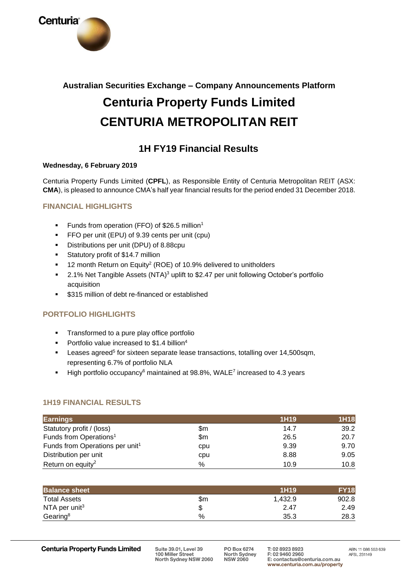

# **Australian Securities Exchange – Company Announcements Platform Centuria Property Funds Limited CENTURIA METROPOLITAN REIT**

# **1H FY19 Financial Results**

#### **Wednesday, 6 February 2019**

Centuria Property Funds Limited (**CPFL**), as Responsible Entity of Centuria Metropolitan REIT (ASX: **CMA**), is pleased to announce CMA's half year financial results for the period ended 31 December 2018.

# **FINANCIAL HIGHLIGHTS**

- Funds from operation (FFO) of \$26.5 million<sup>1</sup>
- FFO per unit (EPU) of 9.39 cents per unit (cpu)
- Distributions per unit (DPU) of 8.88cpu
- Statutory profit of \$14.7 million
- $\blacksquare$  12 month Return on Equity<sup>2</sup> (ROE) of 10.9% delivered to unitholders
- 2.1% Net Tangible Assets (NTA)<sup>3</sup> uplift to \$2.47 per unit following October's portfolio acquisition
- \$315 million of debt re-financed or established

#### **PORTFOLIO HIGHLIGHTS**

- Transformed to a pure play office portfolio
- Portfolio value increased to \$1.4 billion<sup>4</sup>
- **E** Leases agreed<sup>5</sup> for sixteen separate lease transactions, totalling over 14,500sqm, representing 6.7% of portfolio NLA
- **E** High portfolio occupancy<sup>6</sup> maintained at 98.8%, WALE<sup>7</sup> increased to 4.3 years

#### **1H19 FINANCIAL RESULTS**

| <b>Earnings</b>                             |     | 1H19 | <b>1H18</b> |
|---------------------------------------------|-----|------|-------------|
| Statutory profit / (loss)                   | \$m | 14.7 | 39.2        |
| Funds from Operations <sup>1</sup>          | \$m | 26.5 | 20.7        |
| Funds from Operations per unit <sup>1</sup> | cpu | 9.39 | 9.70        |
| Distribution per unit                       | cpu | 8.88 | 9.05        |
| Return on equity <sup>2</sup>               | %   | 10.9 | 10.8        |

| <b>Balance sheet</b>      |     | 1H <sub>19</sub> | <b>FY18</b> |
|---------------------------|-----|------------------|-------------|
| <b>Total Assets</b>       | \$m | 1.432.9          | 902.8       |
| NTA per unit <sup>3</sup> | J   | 2.47             | 2.49        |
| Gearing <sup>8</sup>      | %   | 35.3             | 28.3        |

Suite 39.01, Level 39 100 Miller Street<br>North Sydney NSW 2060

PO Box 6274 North Sydney<br>NSW 2060 T: 02 8923 8923 F: 02 9460 2960 E: contactus@centuria.com.au www.centuria.com.au/property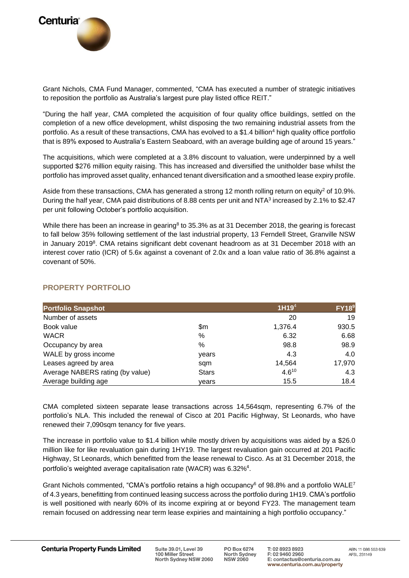

Grant Nichols, CMA Fund Manager, commented, "CMA has executed a number of strategic initiatives to reposition the portfolio as Australia's largest pure play listed office REIT."

"During the half year, CMA completed the acquisition of four quality office buildings, settled on the completion of a new office development, whilst disposing the two remaining industrial assets from the portfolio. As a result of these transactions, CMA has evolved to a  $$1.4$  billion<sup>4</sup> high quality office portfolio that is 89% exposed to Australia's Eastern Seaboard, with an average building age of around 15 years."

The acquisitions, which were completed at a 3.8% discount to valuation, were underpinned by a well supported \$276 million equity raising. This has increased and diversified the unitholder base whilst the portfolio has improved asset quality, enhanced tenant diversification and a smoothed lease expiry profile.

Aside from these transactions, CMA has generated a strong 12 month rolling return on equity<sup>2</sup> of 10.9%. During the half year, CMA paid distributions of 8.88 cents per unit and NTA<sup>3</sup> increased by 2.1% to \$2.47 per unit following October's portfolio acquisition.

While there has been an increase in gearing<sup>8</sup> to 35.3% as at 31 December 2018, the gearing is forecast to fall below 35% following settlement of the last industrial property, 13 Ferndell Street, Granville NSW in January 2019<sup>8</sup>. CMA retains significant debt covenant headroom as at 31 December 2018 with an interest cover ratio (ICR) of 5.6x against a covenant of 2.0x and a loan value ratio of 36.8% against a covenant of 50%.

| <b>Portfolio Snapshot</b>        |              | 1H19 <sup>4</sup> | <b>FY18</b> <sup>9</sup> |
|----------------------------------|--------------|-------------------|--------------------------|
| Number of assets                 |              | 20                | 19                       |
| Book value                       | \$m          | 1,376.4           | 930.5                    |
| <b>WACR</b>                      | %            | 6.32              | 6.68                     |
| Occupancy by area                | $\%$         | 98.8              | 98.9                     |
| WALE by gross income             | years        | 4.3               | 4.0                      |
| Leases agreed by area            | sqm          | 14,564            | 17,970                   |
| Average NABERS rating (by value) | <b>Stars</b> | $4.6^{10}$        | 4.3                      |
| Average building age             | vears        | 15.5              | 18.4                     |

#### **PROPERTY PORTFOLIO**

CMA completed sixteen separate lease transactions across 14,564sqm, representing 6.7% of the portfolio's NLA. This included the renewal of Cisco at 201 Pacific Highway, St Leonards, who have renewed their 7,090sqm tenancy for five years.

The increase in portfolio value to \$1.4 billion while mostly driven by acquisitions was aided by a \$26.0 million like for like revaluation gain during 1HY19. The largest revaluation gain occurred at 201 Pacific Highway, St Leonards, which benefitted from the lease renewal to Cisco. As at 31 December 2018, the portfolio's weighted average capitalisation rate (WACR) was  $6.32\%$ <sup>4</sup>.

Grant Nichols commented, "CMA's portfolio retains a high occupancy<sup>6</sup> of 98.8% and a portfolio WALE<sup>7</sup> of 4.3 years, benefitting from continued leasing success across the portfolio during 1H19. CMA's portfolio is well positioned with nearly 60% of its income expiring at or beyond FY23. The management team remain focused on addressing near term lease expiries and maintaining a high portfolio occupancy."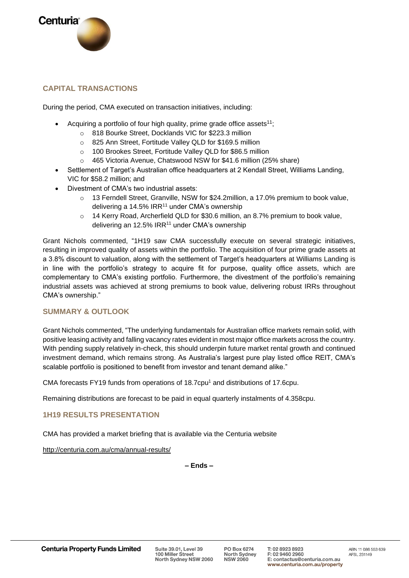

# **CAPITAL TRANSACTIONS**

During the period, CMA executed on transaction initiatives, including:

- Acquiring a portfolio of four high quality, prime grade office assets $11$ ;
	- o 818 Bourke Street, Docklands VIC for \$223.3 million
	- o 825 Ann Street, Fortitude Valley QLD for \$169.5 million
	- o 100 Brookes Street, Fortitude Valley QLD for \$86.5 million
	- o 465 Victoria Avenue, Chatswood NSW for \$41.6 million (25% share)
- Settlement of Target's Australian office headquarters at 2 Kendall Street, Williams Landing, VIC for \$58.2 million; and
- Divestment of CMA's two industrial assets:
	- o 13 Ferndell Street, Granville, NSW for \$24.2million, a 17.0% premium to book value, delivering a 14.5% IRR<sup>11</sup> under CMA's ownership
	- o 14 Kerry Road, Archerfield QLD for \$30.6 million, an 8.7% premium to book value, delivering an 12.5% IRR<sup>11</sup> under CMA's ownership

Grant Nichols commented, "1H19 saw CMA successfully execute on several strategic initiatives, resulting in improved quality of assets within the portfolio. The acquisition of four prime grade assets at a 3.8% discount to valuation, along with the settlement of Target's headquarters at Williams Landing is in line with the portfolio's strategy to acquire fit for purpose, quality office assets, which are complementary to CMA's existing portfolio. Furthermore, the divestment of the portfolio's remaining industrial assets was achieved at strong premiums to book value, delivering robust IRRs throughout CMA's ownership."

#### **SUMMARY & OUTLOOK**

Grant Nichols commented, "The underlying fundamentals for Australian office markets remain solid, with positive leasing activity and falling vacancy rates evident in most major office markets across the country. With pending supply relatively in-check, this should underpin future market rental growth and continued investment demand, which remains strong. As Australia's largest pure play listed office REIT, CMA's scalable portfolio is positioned to benefit from investor and tenant demand alike."

CMA forecasts FY19 funds from operations of  $18.7$ cpu<sup>1</sup> and distributions of 17.6cpu.

Remaining distributions are forecast to be paid in equal quarterly instalments of 4.358cpu.

#### **1H19 RESULTS PRESENTATION**

CMA has provided a market briefing that is available via the Centuria website

<http://centuria.com.au/cma/annual-results/>

**– Ends –**